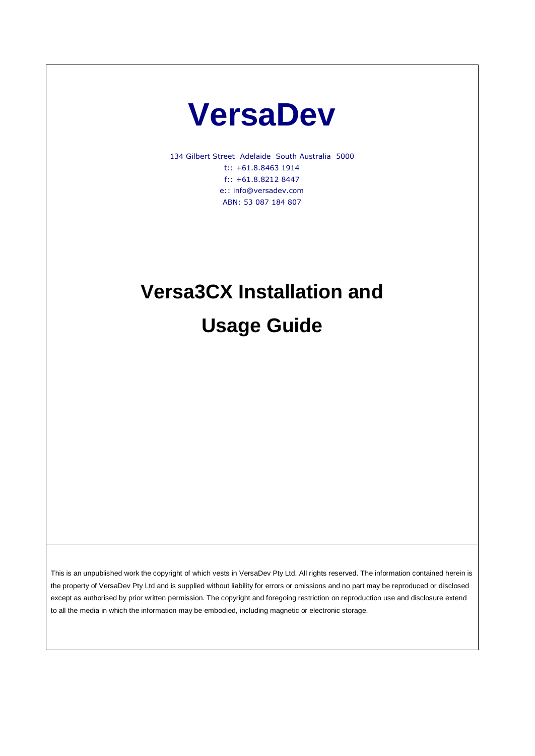# **VersaDev**

134 Gilbert Street Adelaide South Australia 5000 t:: +61.8.8463 1914 f:: +61.8.8212 8447 e:: info@versadev.com ABN: 53 087 184 807

# **Versa3CX Installation and**

**Usage Guide**

This is an unpublished work the copyright of which vests in VersaDev Pty Ltd. All rights reserved. The information contained herein is the property of VersaDev Pty Ltd and is supplied without liability for errors or omissions and no part may be reproduced or disclosed except as authorised by prior written permission. The copyright and foregoing restriction on reproduction use and disclosure extend to all the media in which the information may be embodied, including magnetic or electronic storage.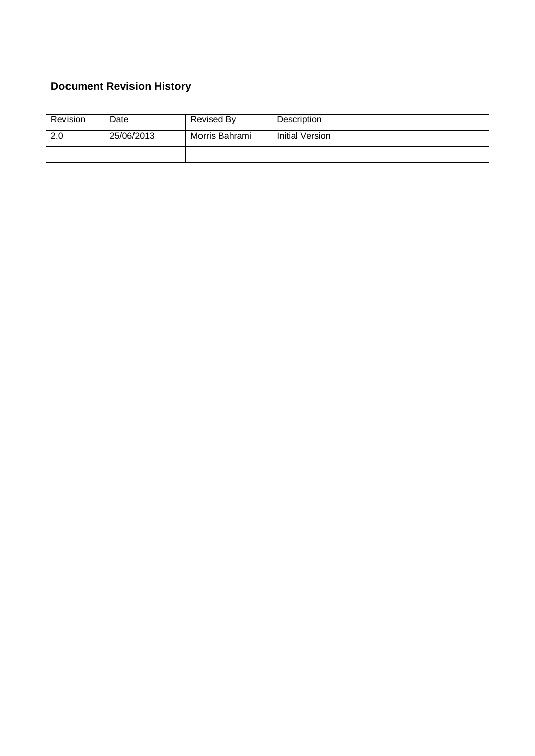### **Document Revision History**

| Revision | Date       | Revised By     | Description     |
|----------|------------|----------------|-----------------|
| 2.0      | 25/06/2013 | Morris Bahrami | Initial Version |
|          |            |                |                 |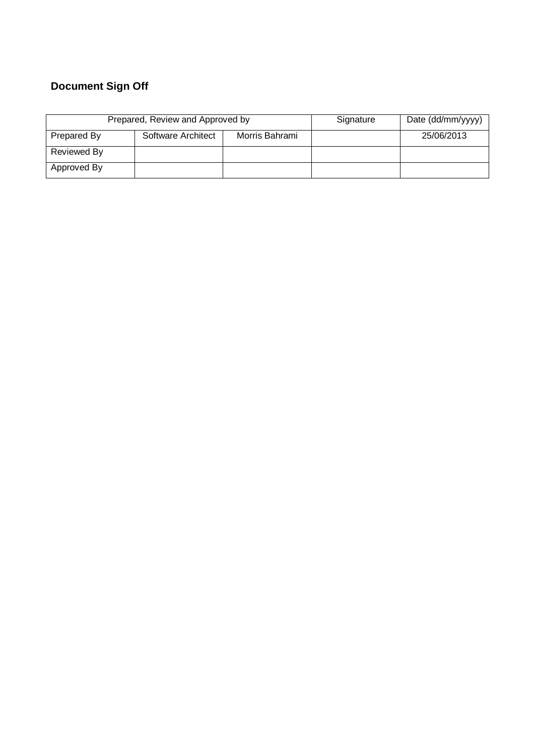### **Document Sign Off**

|             | Prepared, Review and Approved by | Signature      | Date (dd/mm/yyyy) |            |
|-------------|----------------------------------|----------------|-------------------|------------|
| Prepared By | Software Architect               | Morris Bahrami |                   | 25/06/2013 |
| Reviewed By |                                  |                |                   |            |
| Approved By |                                  |                |                   |            |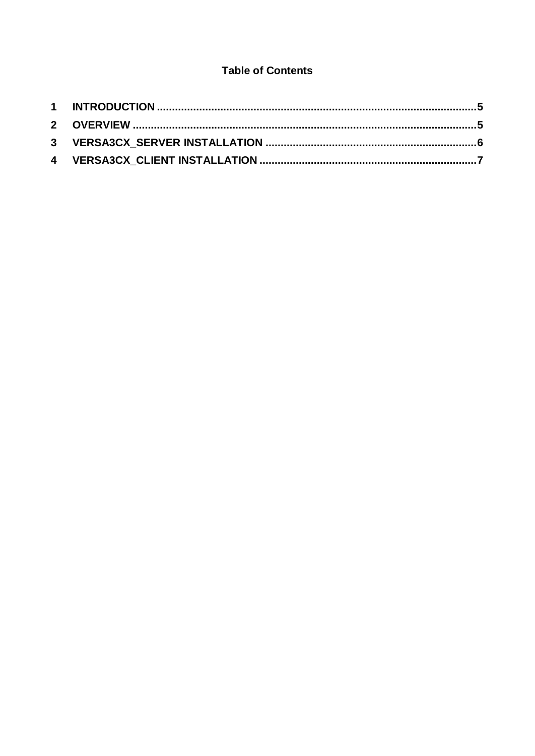#### **Table of Contents**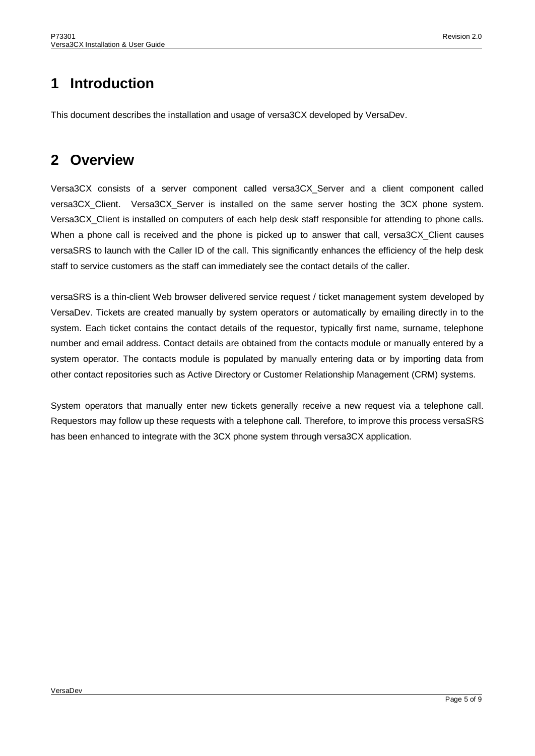## <span id="page-4-0"></span>**1 Introduction**

This document describes the installation and usage of versa3CX developed by VersaDev.

## <span id="page-4-1"></span>**2 Overview**

Versa3CX consists of a server component called versa3CX\_Server and a client component called versa3CX\_Client. Versa3CX\_Server is installed on the same server hosting the 3CX phone system. Versa3CX\_Client is installed on computers of each help desk staff responsible for attending to phone calls. When a phone call is received and the phone is picked up to answer that call, versa3CX\_Client causes versaSRS to launch with the Caller ID of the call. This significantly enhances the efficiency of the help desk staff to service customers as the staff can immediately see the contact details of the caller.

versaSRS is a thin-client Web browser delivered service request / ticket management system developed by VersaDev. Tickets are created manually by system operators or automatically by emailing directly in to the system. Each ticket contains the contact details of the requestor, typically first name, surname, telephone number and email address. Contact details are obtained from the contacts module or manually entered by a system operator. The contacts module is populated by manually entering data or by importing data from other contact repositories such as Active Directory or Customer Relationship Management (CRM) systems.

System operators that manually enter new tickets generally receive a new request via a telephone call. Requestors may follow up these requests with a telephone call. Therefore, to improve this process versaSRS has been enhanced to integrate with the 3CX phone system through versa3CX application.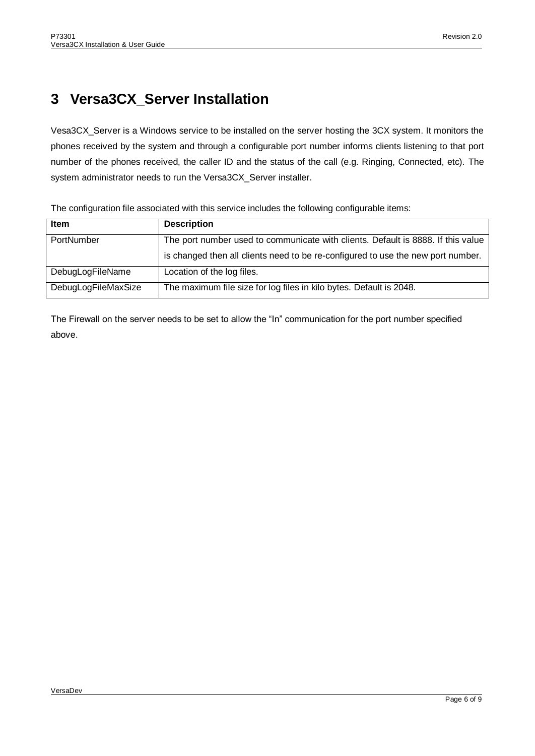## <span id="page-5-0"></span>**3 Versa3CX\_Server Installation**

Vesa3CX\_Server is a Windows service to be installed on the server hosting the 3CX system. It monitors the phones received by the system and through a configurable port number informs clients listening to that port number of the phones received, the caller ID and the status of the call (e.g. Ringing, Connected, etc). The system administrator needs to run the Versa3CX\_Server installer.

| <b>Item</b>         | <b>Description</b>                                                               |
|---------------------|----------------------------------------------------------------------------------|
| PortNumber          | The port number used to communicate with clients. Default is 8888. If this value |
|                     | is changed then all clients need to be re-configured to use the new port number. |
| DebugLogFileName    | Location of the log files.                                                       |
| DebugLogFileMaxSize | The maximum file size for log files in kilo bytes. Default is 2048.              |

The configuration file associated with this service includes the following configurable items:

The Firewall on the server needs to be set to allow the "In" communication for the port number specified above.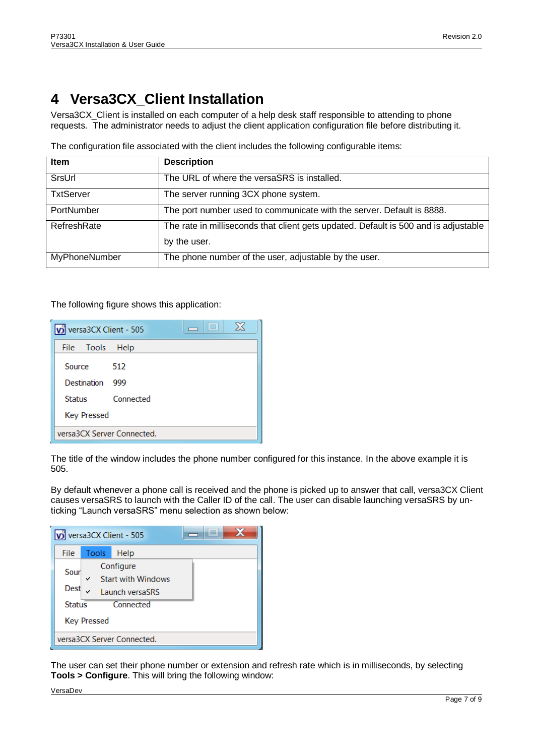## <span id="page-6-0"></span>**4 Versa3CX\_Client Installation**

Versa3CX\_Client is installed on each computer of a help desk staff responsible to attending to phone requests. The administrator needs to adjust the client application configuration file before distributing it.

| <b>Item</b>       | <b>Description</b>                                                                                  |
|-------------------|-----------------------------------------------------------------------------------------------------|
| SrsUrl            | The URL of where the versaSRS is installed.                                                         |
| <b>TxtServer</b>  | The server running 3CX phone system.                                                                |
| <b>PortNumber</b> | The port number used to communicate with the server. Default is 8888.                               |
| RefreshRate       | The rate in milliseconds that client gets updated. Default is 500 and is adjustable<br>by the user. |
| MyPhoneNumber     | The phone number of the user, adjustable by the user.                                               |

The configuration file associated with the client includes the following configurable items:

The following figure shows this application:

| vi versa3CX Client - 505   |           | $\Box$<br>$\Box$ | ⊠ |
|----------------------------|-----------|------------------|---|
| File Tools                 | Help      |                  |   |
| Source                     | -512      |                  |   |
| <b>Destination</b>         | 999       |                  |   |
| Status                     | Connected |                  |   |
| <b>Key Pressed</b>         |           |                  |   |
| versa3CX Server Connected. |           |                  |   |

The title of the window includes the phone number configured for this instance. In the above example it is 505.

By default whenever a phone call is received and the phone is picked up to answer that call, versa3CX Client causes versaSRS to launch with the Caller ID of the call. The user can disable launching versaSRS by unticking "Launch versaSRS" menu selection as shown below:

| volversa3CX Client - 505             |                                                                                              |      |  |  |
|--------------------------------------|----------------------------------------------------------------------------------------------|------|--|--|
| File                                 | Tools                                                                                        | Help |  |  |
| Sour<br><b>Dest</b><br><b>Status</b> | Configure<br><b>Start with Windows</b><br>Launch versaSRS<br>Connected<br><b>Key Pressed</b> |      |  |  |
| versa3CX Server Connected.           |                                                                                              |      |  |  |

The user can set their phone number or extension and refresh rate which is in milliseconds, by selecting **Tools > Configure**. This will bring the following window:

VersaDev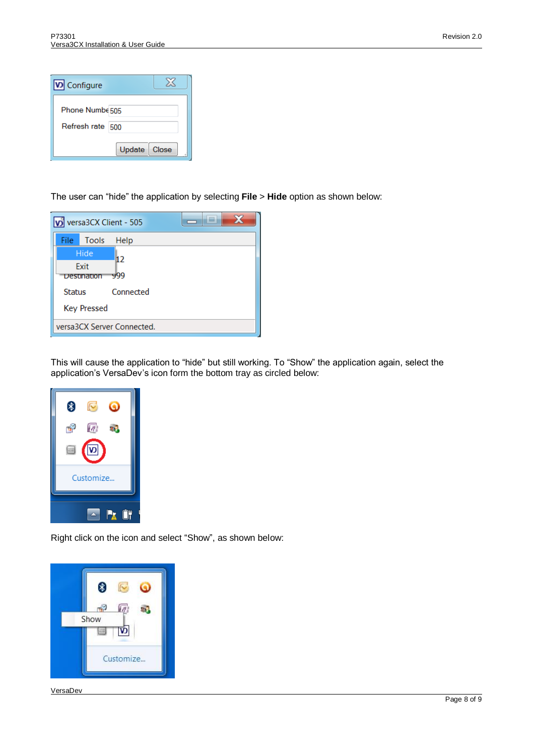| <b>V</b> Configure |                 |
|--------------------|-----------------|
| Phone Numbe 505    |                 |
| Refresh rate 500   |                 |
|                    | Update<br>Close |

The user can "hide" the application by selecting **File** > **Hide** option as shown below:

|                            |             | volversa3CX Client - 505 |  |
|----------------------------|-------------|--------------------------|--|
| File:                      | Tools       | Help                     |  |
|                            | Hide        | 12                       |  |
|                            | Exit        |                          |  |
|                            | Destination | 999                      |  |
| <b>Status</b>              |             | Connected                |  |
| <b>Key Pressed</b>         |             |                          |  |
| versa3CX Server Connected. |             |                          |  |

This will cause the application to "hide" but still working. To "Show" the application again, select the application's VersaDev's icon form the bottom tray as circled below:



Right click on the icon and select "Show", as shown below:



VersaDev